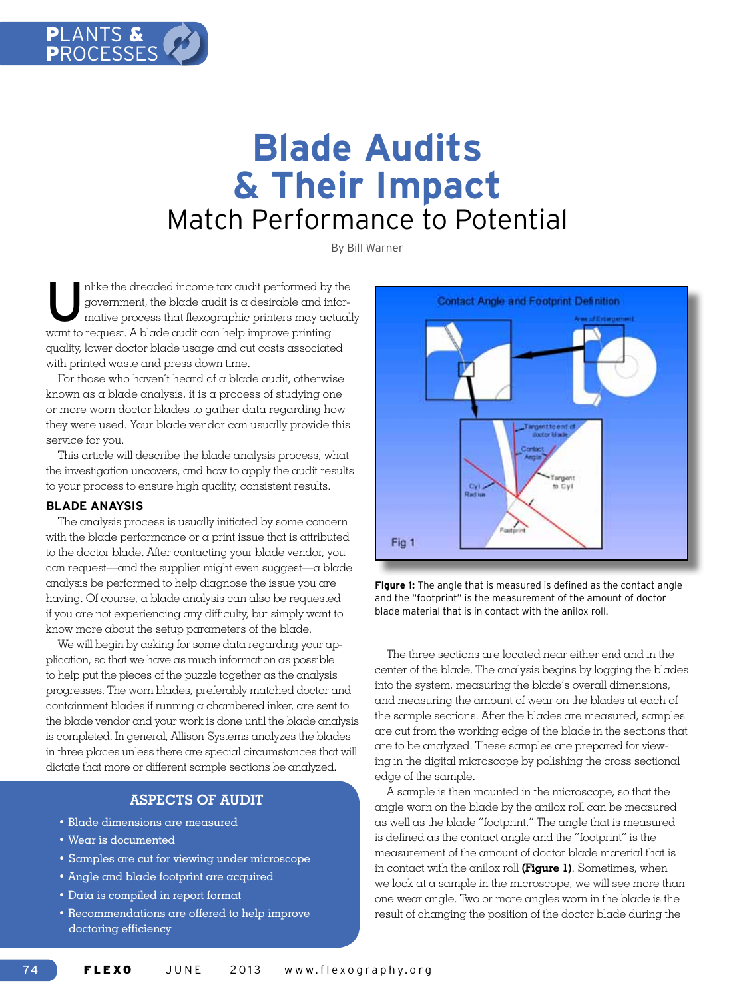

# **Blade Audits & Their Impact** Match Performance to Potential

By Bill Warner

mlike the dreaded income tax audit performed by the government, the blade audit is a desirable and informative process that flexographic printers may actually government, the blade audit is a desirable and inforwant to request. A blade audit can help improve printing quality, lower doctor blade usage and cut costs associated with printed waste and press down time.

For those who haven't heard of a blade audit, otherwise known as a blade analysis, it is a process of studying one or more worn doctor blades to gather data regarding how they were used. Your blade vendor can usually provide this service for you.

This article will describe the blade analysis process, what the investigation uncovers, and how to apply the audit results to your process to ensure high quality, consistent results.

## **BLADE ANAYSIS**

The analysis process is usually initiated by some concern with the blade performance or a print issue that is attributed to the doctor blade. After contacting your blade vendor, you can request—and the supplier might even suggest—a blade analysis be performed to help diagnose the issue you are having. Of course, a blade analysis can also be requested if you are not experiencing any difficulty, but simply want to know more about the setup parameters of the blade.

We will begin by asking for some data regarding your application, so that we have as much information as possible to help put the pieces of the puzzle together as the analysis progresses. The worn blades, preferably matched doctor and containment blades if running a chambered inker, are sent to the blade vendor and your work is done until the blade analysis is completed. In general, Allison Systems analyzes the blades in three places unless there are special circumstances that will dictate that more or different sample sections be analyzed.

# **ASPECTS OF AUDIT**

- • Blade dimensions are measured
- • Wear is documented
- • Samples are cut for viewing under microscope
- • Angle and blade footprint are acquired
- • Data is compiled in report format
- • Recommendations are offered to help improve doctoring efficiency



**Figure 1:** The angle that is measured is defined as the contact angle and the "footprint" is the measurement of the amount of doctor blade material that is in contact with the anilox roll.

The three sections are located near either end and in the center of the blade. The analysis begins by logging the blades into the system, measuring the blade's overall dimensions, and measuring the amount of wear on the blades at each of the sample sections. After the blades are measured, samples are cut from the working edge of the blade in the sections that are to be analyzed. These samples are prepared for viewing in the digital microscope by polishing the cross sectional edge of the sample.

A sample is then mounted in the microscope, so that the angle worn on the blade by the anilox roll can be measured as well as the blade "footprint." The angle that is measured is defined as the contact angle and the "footprint" is the measurement of the amount of doctor blade material that is in contact with the anilox roll **(Figure 1)**. Sometimes, when we look at a sample in the microscope, we will see more than one wear angle. Two or more angles worn in the blade is the result of changing the position of the doctor blade during the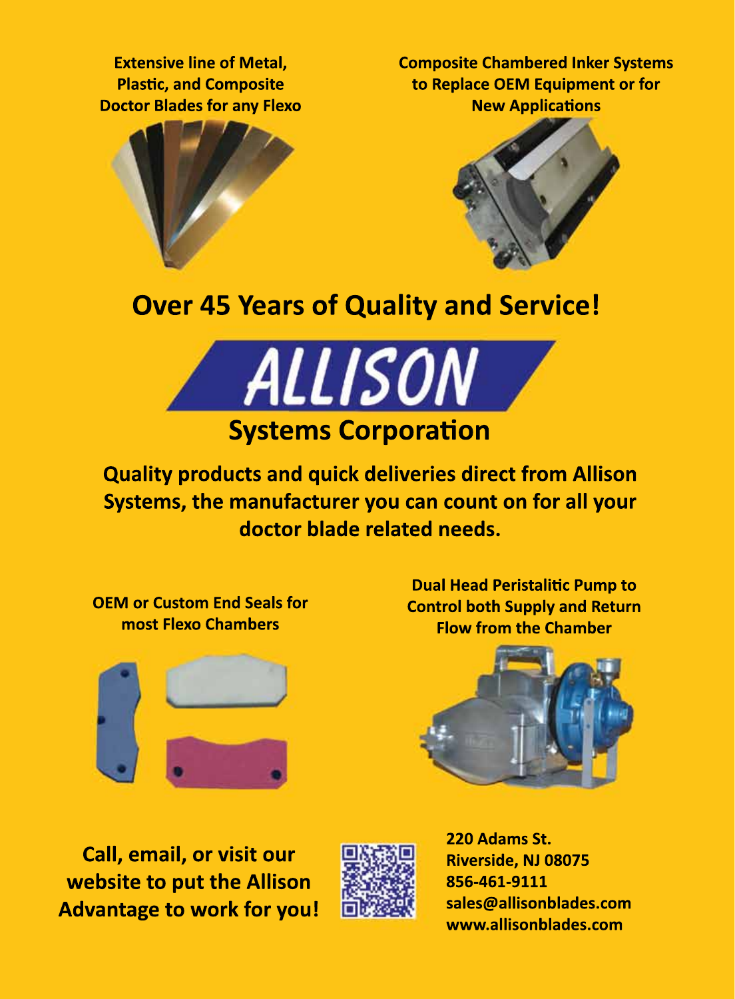**Extensive line of Metal, Plastic, and Composite Doctor Blades for any Flexo** **Composite Chambered Inker Systems to Replace OEM Equipment or for New Applications**





# **Over 45 Years of Quality and Service!**



**Quality products and quick deliveries direct from Allison Systems, the manufacturer you can count on for all your doctor blade related needs.**

**OEM or Custom End Seals for most Flexo Chambers**



**Dual Head Peristalitic Pump to Control both Supply and Return Flow from the Chamber**



**Call, email, or visit our website to put the Allison Advantage to work for you!**



**220 Adams St. Riverside, NJ 08075 856-461-9111 sales@allisonblades.com www.allisonblades.com**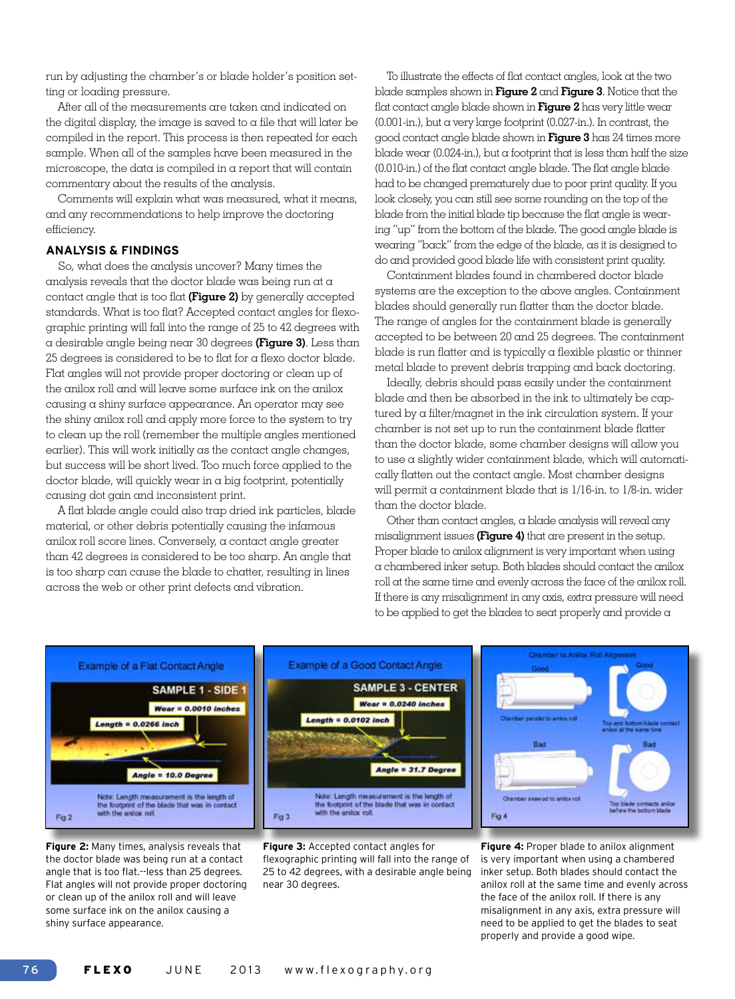run by adjusting the chamber's or blade holder's position setting or loading pressure.

After all of the measurements are taken and indicated on the digital display, the image is saved to a file that will later be compiled in the report. This process is then repeated for each sample. When all of the samples have been measured in the microscope, the data is compiled in a report that will contain commentary about the results of the analysis.

Comments will explain what was measured, what it means, and any recommendations to help improve the doctoring efficiency.

#### **ANALYSIS & FINDINGS**

So, what does the analysis uncover? Many times the analysis reveals that the doctor blade was being run at a contact angle that is too flat **(Figure 2)** by generally accepted standards. What is too flat? Accepted contact angles for flexographic printing will fall into the range of 25 to 42 degrees with a desirable angle being near 30 degrees **(Figure 3)**. Less than 25 degrees is considered to be to flat for a flexo doctor blade. Flat angles will not provide proper doctoring or clean up of the anilox roll and will leave some surface ink on the anilox causing a shiny surface appearance. An operator may see the shiny anilox roll and apply more force to the system to try to clean up the roll (remember the multiple angles mentioned earlier). This will work initially as the contact angle changes, but success will be short lived. Too much force applied to the doctor blade, will quickly wear in a big footprint, potentially causing dot gain and inconsistent print.

A flat blade angle could also trap dried ink particles, blade material, or other debris potentially causing the infamous anilox roll score lines. Conversely, a contact angle greater than 42 degrees is considered to be too sharp. An angle that is too sharp can cause the blade to chatter, resulting in lines across the web or other print defects and vibration.

To illustrate the effects of flat contact angles, look at the two blade samples shown in **Figure 2** and **Figure 3**. Notice that the flat contact angle blade shown in **Figure 2** has very little wear  $(0.001$ -in.), but a very large footprint  $(0.027$ -in.). In contrast, the good contact angle blade shown in **Figure 3** has 24 times more blade wear (0.024-in.), but a footprint that is less than half the size (0.010-in.) of the flat contact angle blade. The flat angle blade had to be changed prematurely due to poor print quality. If you look closely, you can still see some rounding on the top of the blade from the initial blade tip because the flat angle is wearing "up" from the bottom of the blade. The good angle blade is wearing "back" from the edge of the blade, as it is designed to do and provided good blade life with consistent print quality.

Containment blades found in chambered doctor blade systems are the exception to the above angles. Containment blades should generally run flatter than the doctor blade. The range of angles for the containment blade is generally accepted to be between 20 and 25 degrees. The containment blade is run flatter and is typically a flexible plastic or thinner metal blade to prevent debris trapping and back doctoring.

Ideally, debris should pass easily under the containment blade and then be absorbed in the ink to ultimately be captured by a filter/magnet in the ink circulation system. If your chamber is not set up to run the containment blade flatter than the doctor blade, some chamber designs will allow you to use a slightly wider containment blade, which will automatically flatten out the contact angle. Most chamber designs will permit a containment blade that is 1/16-in. to 1/8-in. wider than the doctor blade.

Other than contact angles, a blade analysis will reveal any misalignment issues **(Figure 4)** that are present in the setup. Proper blade to anilox alignment is very important when using a chambered inker setup. Both blades should contact the anilox roll at the same time and evenly across the face of the anilox roll. If there is any misalignment in any axis, extra pressure will need to be applied to get the blades to seat properly and provide a



**Figure 2:** Many times, analysis reveals that the doctor blade was being run at a contact angle that is too flat.--less than 25 degrees. Flat angles will not provide proper doctoring or clean up of the anilox roll and will leave some surface ink on the anilox causing a shiny surface appearance.



**Figure 4:** Proper blade to anilox alignment is very important when using a chambered inker setup. Both blades should contact the anilox roll at the same time and evenly across the face of the anilox roll. If there is any misalignment in any axis, extra pressure will need to be applied to get the blades to seat properly and provide a good wipe.